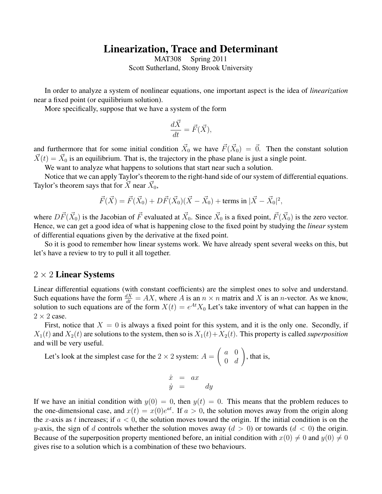## Linearization, Trace and Determinant

MAT308 Spring 2011 Scott Sutherland, Stony Brook University

In order to analyze a system of nonlinear equations, one important aspect is the idea of *linearization* near a fixed point (or equilibrium solution).

More specifically, suppose that we have a system of the form

$$
\frac{d\vec{X}}{dt} = \vec{F}(\vec{X}),
$$

and furthermore that for some initial condition  $\vec{X}_0$  we have  $\vec{F}(\vec{X}_0) = \vec{0}$ . Then the constant solution  $\vec{X}(t) = \vec{X}_0$  is an equilibrium. That is, the trajectory in the phase plane is just a single point.

We want to analyze what happens to solutions that start near such a solution.

Notice that we can apply Taylor's theorem to the right-hand side of our system of differential equations. Taylor's theorem says that for  $\vec{X}$  near  $\vec{X}_0$ ,

$$
\vec{F}(\vec{X}) = \vec{F}(\vec{X}_0) + D\vec{F}(\vec{X}_0)(\vec{X} - \vec{X}_0) + \text{terms in } |\vec{X} - \vec{X}_0|^2,
$$

where  $D\vec{F}(\vec{X}_0)$  is the Jacobian of  $\vec{F}$  evaluated at  $\vec{X}_0$ . Since  $\vec{X}_0$  is a fixed point,  $\vec{F}(\vec{X}_0)$  is the zero vector. Hence, we can get a good idea of what is happening close to the fixed point by studying the *linear* system of differential equations given by the derivative at the fixed point.

So it is good to remember how linear systems work. We have already spent several weeks on this, but let's have a review to try to pull it all together.

## $2 \times 2$  Linear Systems

Linear differential equations (with constant coefficients) are the simplest ones to solve and understand. Such equations have the form  $\frac{dX}{dt} = AX$ , where A is an  $n \times n$  matrix and X is an n-vector. As we know, solution to such equations are of the form  $X(t) = e^{At} X_0$  Let's take inventory of what can happen in the  $2 \times 2$  case.

First, notice that  $X = 0$  is always a fixed point for this system, and it is the only one. Secondly, if  $X_1(t)$  and  $X_2(t)$  are solutions to the system, then so is  $X_1(t)+X_2(t)$ . This property is called *superposition* and will be very useful.

Let's look at the simplest case for the  $2 \times 2$  system:  $A =$  $\int a \ 0$  $0 \quad d$  $\setminus$ , that is,

$$
\begin{array}{rcl}\n\dot{x} & = & ax \\
\dot{y} & = & dy\n\end{array}
$$

If we have an initial condition with  $y(0) = 0$ , then  $y(t) = 0$ . This means that the problem reduces to the one-dimensional case, and  $x(t) = x(0)e^{at}$ . If  $a > 0$ , the solution moves away from the origin along the x-axis as t increases; if  $a < 0$ , the solution moves toward the origin. If the initial condition is on the y-axis, the sign of d controls whether the solution moves away  $(d > 0)$  or towards  $(d < 0)$  the origin. Because of the superposition property mentioned before, an initial condition with  $x(0) \neq 0$  and  $y(0) \neq 0$ gives rise to a solution which is a combination of these two behaviours.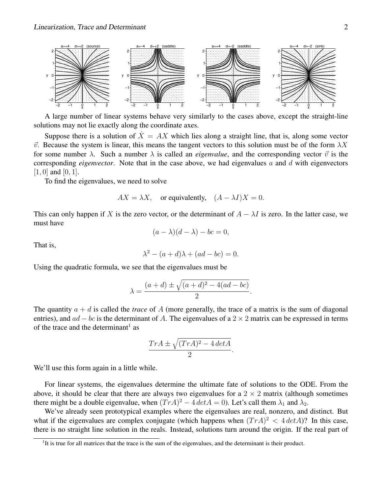

A large number of linear systems behave very similarly to the cases above, except the straight-line solutions may not lie exactly along the coordinate axes.

Suppose there is a solution of  $\dot{X} = AX$  which lies along a straight line, that is, along some vector  $\vec{v}$ . Because the system is linear, this means the tangent vectors to this solution must be of the form  $\lambda X$ for some number  $\lambda$ . Such a number  $\lambda$  is called an *eigenvalue*, and the corresponding vector  $\vec{v}$  is the corresponding *eigenvector*. Note that in the case above, we had eigenvalues a and d with eigenvectors  $[1, 0]$  and  $[0, 1]$ .

To find the eigenvalues, we need to solve

$$
AX = \lambda X
$$
, or equivalently,  $(A - \lambda I)X = 0$ .

This can only happen if X is the zero vector, or the determinant of  $A - \lambda I$  is zero. In the latter case, we must have

$$
(a - \lambda)(d - \lambda) - bc = 0,
$$

That is,

$$
\lambda^2 - (a+d)\lambda + (ad - bc) = 0.
$$

Using the quadratic formula, we see that the eigenvalues must be

$$
\lambda = \frac{(a+d) \pm \sqrt{(a+d)^2 - 4(ad - bc)}}{2}.
$$

The quantity  $a + d$  is called the *trace* of A (more generally, the trace of a matrix is the sum of diagonal entries), and  $ad - bc$  is the determinant of A. The eigenvalues of a 2 × 2 matrix can be expressed in terms of the trace and the determinant<sup>[1](#page-1-0)</sup> as

$$
\frac{Tr A \pm \sqrt{(Tr A)^2 - 4 \det A}}{2}.
$$

We'll use this form again in a little while.

For linear systems, the eigenvalues determine the ultimate fate of solutions to the ODE. From the above, it should be clear that there are always two eigenvalues for a  $2 \times 2$  matrix (although sometimes there might be a double eigenvalue, when  $(TrA)^2 - 4 \det A = 0$ ). Let's call them  $\lambda_1$  and  $\lambda_2$ .

We've already seen prototypical examples where the eigenvalues are real, nonzero, and distinct. But what if the eigenvalues are complex conjugate (which happens when  $(TrA)^2 < 4 \cdot det A$ )? In this case, there is no straight line solution in the reals. Instead, solutions turn around the origin. If the real part of

<span id="page-1-0"></span><sup>&</sup>lt;sup>1</sup>It is true for all matrices that the trace is the sum of the eigenvalues, and the determinant is their product.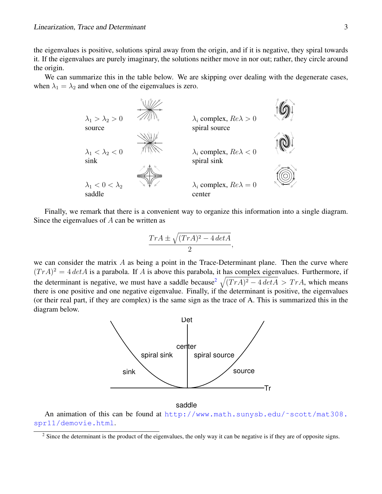the eigenvalues is positive, solutions spiral away from the origin, and if it is negative, they spiral towards it. If the eigenvalues are purely imaginary, the solutions neither move in nor out; rather, they circle around the origin.

We can summarize this in the table below. We are skipping over dealing with the degenerate cases, when  $\lambda_1 = \lambda_2$  and when one of the eigenvalues is zero.



Finally, we remark that there is a convenient way to organize this information into a single diagram. Since the eigenvalues of A can be written as

$$
\frac{Tr A \pm \sqrt{(Tr A)^2 - 4 \det A}}{2},
$$

we can consider the matrix  $\vec{A}$  as being a point in the Trace-Determinant plane. Then the curve where  $(TrA)^2 = 4 \det A$  is a parabola. If A is above this parabola, it has complex eigenvalues. Furthermore, if the determinant is negative, we must have a saddle because<sup>[2](#page-2-0)</sup>  $\sqrt{(Tr A)^2 - 4 \det A} > Tr A$ , which means there is one positive and one negative eigenvalue. Finally, if the determinant is positive, the eigenvalues (or their real part, if they are complex) is the same sign as the trace of A. This is summarized this in the diagram below.



saddle

An animation of this can be found at http://www.math.sunysb.edu/~scott/mat308. [spr11/demovie.html](http://www.math.sunysb.edu/~scott/mat308.spr11/demovie.html).

<span id="page-2-0"></span><sup>&</sup>lt;sup>2</sup> Since the determinant is the product of the eigenvalues, the only way it can be negative is if they are of opposite signs.